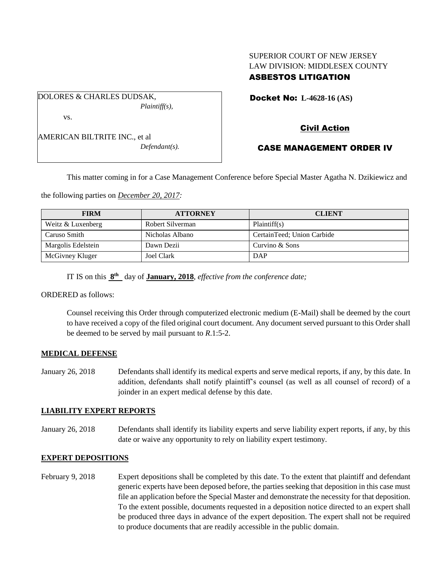### SUPERIOR COURT OF NEW JERSEY LAW DIVISION: MIDDLESEX COUNTY ASBESTOS LITIGATION

DOLORES & CHARLES DUDSAK, *Plaintiff(s),* vs.

AMERICAN BILTRITE INC., et al

*Defendant(s).*

Docket No: **L-4628-16 (AS)** 

# Civil Action

### CASE MANAGEMENT ORDER IV

This matter coming in for a Case Management Conference before Special Master Agatha N. Dzikiewicz and

the following parties on *December 20, 2017:*

| <b>FIRM</b>        | <b>ATTORNEY</b>  | <b>CLIENT</b>              |
|--------------------|------------------|----------------------------|
| Weitz & Luxenberg  | Robert Silverman | Plaintiff(s)               |
| Caruso Smith       | Nicholas Albano  | CertainTeed: Union Carbide |
| Margolis Edelstein | Dawn Dezii       | Curvino & Sons             |
| McGivney Kluger    | Joel Clark       | <b>DAP</b>                 |

IT IS on this  $8<sup>th</sup>$  day of **January, 2018**, *effective from the conference date*;

ORDERED as follows:

Counsel receiving this Order through computerized electronic medium (E-Mail) shall be deemed by the court to have received a copy of the filed original court document. Any document served pursuant to this Order shall be deemed to be served by mail pursuant to *R*.1:5-2.

#### **MEDICAL DEFENSE**

January 26, 2018 Defendants shall identify its medical experts and serve medical reports, if any, by this date. In addition, defendants shall notify plaintiff's counsel (as well as all counsel of record) of a joinder in an expert medical defense by this date.

#### **LIABILITY EXPERT REPORTS**

January 26, 2018 Defendants shall identify its liability experts and serve liability expert reports, if any, by this date or waive any opportunity to rely on liability expert testimony.

#### **EXPERT DEPOSITIONS**

February 9, 2018 Expert depositions shall be completed by this date. To the extent that plaintiff and defendant generic experts have been deposed before, the parties seeking that deposition in this case must file an application before the Special Master and demonstrate the necessity for that deposition. To the extent possible, documents requested in a deposition notice directed to an expert shall be produced three days in advance of the expert deposition. The expert shall not be required to produce documents that are readily accessible in the public domain.